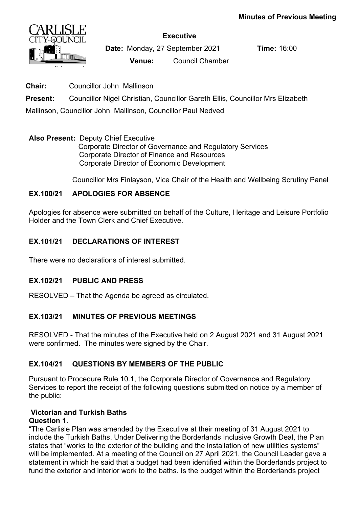

**Executive**

**Date:** Monday, 27 September 2021 **Time:** 16:00 **Venue:** Council Chamber

**Chair:** Councillor John Mallinson

**Present:** Councillor Nigel Christian, Councillor Gareth Ellis, Councillor Mrs Elizabeth

Mallinson, Councillor John Mallinson, Councillor Paul Nedved

#### **Also Present:** Deputy Chief Executive

 Corporate Director of Governance and Regulatory Services Corporate Director of Finance and Resources Corporate Director of Economic Development

Councillor Mrs Finlayson, Vice Chair of the Health and Wellbeing Scrutiny Panel

## **EX.100/21 APOLOGIES FOR ABSENCE**

Apologies for absence were submitted on behalf of the Culture, Heritage and Leisure Portfolio Holder and the Town Clerk and Chief Executive.

## **EX.101/21 DECLARATIONS OF INTEREST**

There were no declarations of interest submitted.

## **EX.102/21 PUBLIC AND PRESS**

RESOLVED – That the Agenda be agreed as circulated.

## **EX.103/21 MINUTES OF PREVIOUS MEETINGS**

RESOLVED - That the minutes of the Executive held on 2 August 2021 and 31 August 2021 were confirmed. The minutes were signed by the Chair.

## **EX.104/21 QUESTIONS BY MEMBERS OF THE PUBLIC**

Pursuant to Procedure Rule 10.1, the Corporate Director of Governance and Regulatory Services to report the receipt of the following questions submitted on notice by a member of the public:

## **Victorian and Turkish Baths**

## **Question 1**.

"The Carlisle Plan was amended by the Executive at their meeting of 31 August 2021 to include the Turkish Baths. Under Delivering the Borderlands Inclusive Growth Deal, the Plan states that "works to the exterior of the building and the installation of new utilities systems" will be implemented. At a meeting of the Council on 27 April 2021, the Council Leader gave a statement in which he said that a budget had been identified within the Borderlands project to fund the exterior and interior work to the baths. Is the budget within the Borderlands project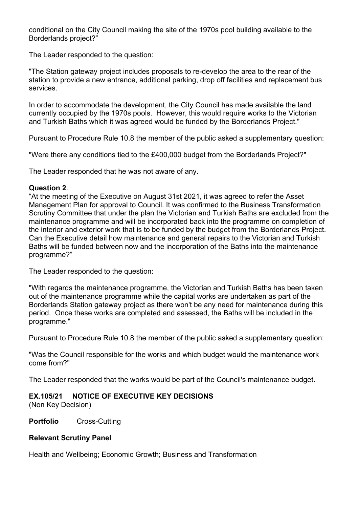conditional on the City Council making the site of the 1970s pool building available to the Borderlands project?"

The Leader responded to the question:

"The Station gateway project includes proposals to re-develop the area to the rear of the station to provide a new entrance, additional parking, drop off facilities and replacement bus services.

In order to accommodate the development, the City Council has made available the land currently occupied by the 1970s pools. However, this would require works to the Victorian and Turkish Baths which it was agreed would be funded by the Borderlands Project."

Pursuant to Procedure Rule 10.8 the member of the public asked a supplementary question:

"Were there any conditions tied to the £400,000 budget from the Borderlands Project?"

The Leader responded that he was not aware of any.

#### **Question 2**.

"At the meeting of the Executive on August 31st 2021, it was agreed to refer the Asset Management Plan for approval to Council. It was confirmed to the Business Transformation Scrutiny Committee that under the plan the Victorian and Turkish Baths are excluded from the maintenance programme and will be incorporated back into the programme on completion of the interior and exterior work that is to be funded by the budget from the Borderlands Project. Can the Executive detail how maintenance and general repairs to the Victorian and Turkish Baths will be funded between now and the incorporation of the Baths into the maintenance programme?"

The Leader responded to the question:

"With regards the maintenance programme, the Victorian and Turkish Baths has been taken out of the maintenance programme while the capital works are undertaken as part of the Borderlands Station gateway project as there won't be any need for maintenance during this period. Once these works are completed and assessed, the Baths will be included in the programme."

Pursuant to Procedure Rule 10.8 the member of the public asked a supplementary question:

"Was the Council responsible for the works and which budget would the maintenance work come from?"

The Leader responded that the works would be part of the Council's maintenance budget.

## **EX.105/21 NOTICE OF EXECUTIVE KEY DECISIONS**

(Non Key Decision)

**Portfolio** Cross-Cutting

#### **Relevant Scrutiny Panel**

Health and Wellbeing; Economic Growth; Business and Transformation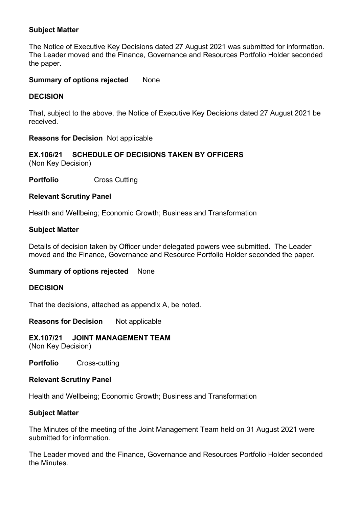#### **Subject Matter**

The Notice of Executive Key Decisions dated 27 August 2021 was submitted for information. The Leader moved and the Finance, Governance and Resources Portfolio Holder seconded the paper.

#### **Summary of options rejected None**

## **DECISION**

That, subject to the above, the Notice of Executive Key Decisions dated 27 August 2021 be received.

#### **Reasons for Decision** Not applicable

#### **EX.106/21 SCHEDULE OF DECISIONS TAKEN BY OFFICERS** (Non Key Decision)

**Portfolio** Cross Cutting

#### **Relevant Scrutiny Panel**

Health and Wellbeing; Economic Growth; Business and Transformation

#### **Subject Matter**

Details of decision taken by Officer under delegated powers wee submitted. The Leader moved and the Finance, Governance and Resource Portfolio Holder seconded the paper.

#### **Summary of options rejected** None

#### **DECISION**

That the decisions, attached as appendix A, be noted.

**Reasons for Decision** Not applicable

**EX.107/21 JOINT MANAGEMENT TEAM** (Non Key Decision)

**Portfolio** Cross-cutting

#### **Relevant Scrutiny Panel**

Health and Wellbeing; Economic Growth; Business and Transformation

#### **Subject Matter**

The Minutes of the meeting of the Joint Management Team held on 31 August 2021 were submitted for information.

The Leader moved and the Finance, Governance and Resources Portfolio Holder seconded the Minutes.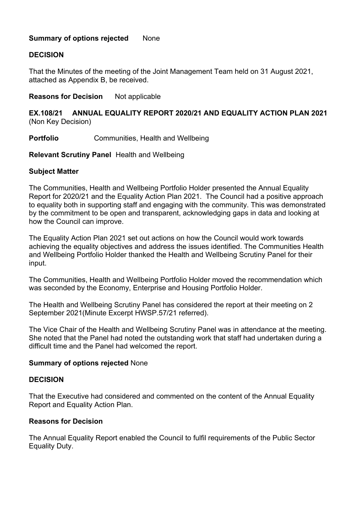#### **Summary of options rejected None**

#### **DECISION**

That the Minutes of the meeting of the Joint Management Team held on 31 August 2021, attached as Appendix B, be received.

#### **Reasons for Decision** Not applicable

#### **EX.108/21 ANNUAL EQUALITY REPORT 2020/21 AND EQUALITY ACTION PLAN 2021** (Non Key Decision)

#### **Portfolio Communities, Health and Wellbeing**

**Relevant Scrutiny Panel** Health and Wellbeing

#### **Subject Matter**

The Communities, Health and Wellbeing Portfolio Holder presented the Annual Equality Report for 2020/21 and the Equality Action Plan 2021. The Council had a positive approach to equality both in supporting staff and engaging with the community. This was demonstrated by the commitment to be open and transparent, acknowledging gaps in data and looking at how the Council can improve.

The Equality Action Plan 2021 set out actions on how the Council would work towards achieving the equality objectives and address the issues identified. The Communities Health and Wellbeing Portfolio Holder thanked the Health and Wellbeing Scrutiny Panel for their input.

The Communities, Health and Wellbeing Portfolio Holder moved the recommendation which was seconded by the Economy, Enterprise and Housing Portfolio Holder.

The Health and Wellbeing Scrutiny Panel has considered the report at their meeting on 2 September 2021(Minute Excerpt HWSP.57/21 referred).

The Vice Chair of the Health and Wellbeing Scrutiny Panel was in attendance at the meeting. She noted that the Panel had noted the outstanding work that staff had undertaken during a difficult time and the Panel had welcomed the report.

#### **Summary of options rejected** None

#### **DECISION**

That the Executive had considered and commented on the content of the Annual Equality Report and Equality Action Plan.

#### **Reasons for Decision**

The Annual Equality Report enabled the Council to fulfil requirements of the Public Sector Equality Duty.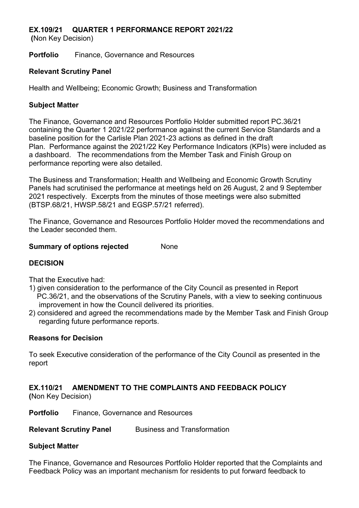## **EX.109/21 QUARTER 1 PERFORMANCE REPORT 2021/22**

 **(**Non Key Decision)

**Portfolio** Finance, Governance and Resources

#### **Relevant Scrutiny Panel**

Health and Wellbeing; Economic Growth; Business and Transformation

#### **Subject Matter**

The Finance, Governance and Resources Portfolio Holder submitted report PC.36/21 containing the Quarter 1 2021/22 performance against the current Service Standards and a baseline position for the Carlisle Plan 2021-23 actions as defined in the draft Plan. Performance against the 2021/22 Key Performance Indicators (KPIs) were included as a dashboard. The recommendations from the Member Task and Finish Group on performance reporting were also detailed.

The Business and Transformation; Health and Wellbeing and Economic Growth Scrutiny Panels had scrutinised the performance at meetings held on 26 August, 2 and 9 September 2021 respectively. Excerpts from the minutes of those meetings were also submitted (BTSP.68/21, HWSP.58/21 and EGSP.57/21 referred).

The Finance, Governance and Resources Portfolio Holder moved the recommendations and the Leader seconded them.

#### **Summary of options rejected Mone**

## **DECISION**

That the Executive had:

- 1) given consideration to the performance of the City Council as presented in Report PC.36/21, and the observations of the Scrutiny Panels, with a view to seeking continuous improvement in how the Council delivered its priorities.
- 2) considered and agreed the recommendations made by the Member Task and Finish Group regarding future performance reports.

## **Reasons for Decision**

To seek Executive consideration of the performance of the City Council as presented in the report

## **EX.110/21 AMENDMENT TO THE COMPLAINTS AND FEEDBACK POLICY**

**(**Non Key Decision)

**Portfolio** Finance, Governance and Resources

**Relevant Scrutiny Panel Business and Transformation** 

## **Subject Matter**

The Finance, Governance and Resources Portfolio Holder reported that the Complaints and Feedback Policy was an important mechanism for residents to put forward feedback to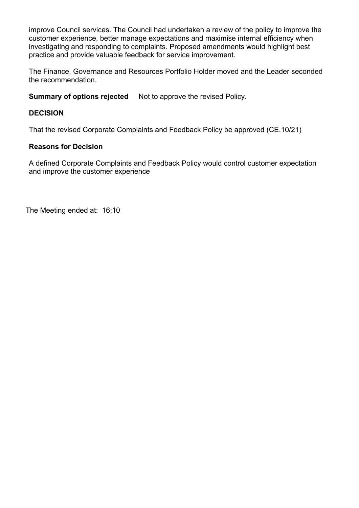improve Council services. The Council had undertaken a review of the policy to improve the customer experience, better manage expectations and maximise internal efficiency when investigating and responding to complaints. Proposed amendments would highlight best practice and provide valuable feedback for service improvement.

The Finance, Governance and Resources Portfolio Holder moved and the Leader seconded the recommendation.

**Summary of options rejected** Not to approve the revised Policy.

#### **DECISION**

That the revised Corporate Complaints and Feedback Policy be approved (CE.10/21)

#### **Reasons for Decision**

A defined Corporate Complaints and Feedback Policy would control customer expectation and improve the customer experience

The Meeting ended at: 16:10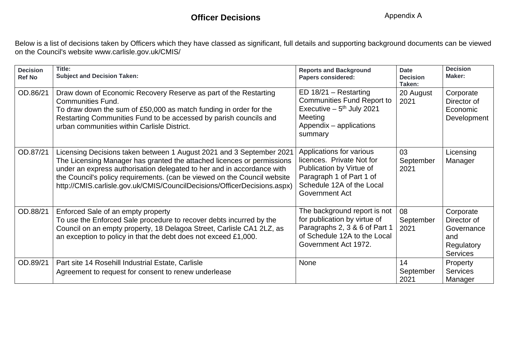## **Officer Decisions**

Below is a list of decisions taken by Officers which they have classed as significant, full details and supporting background documents can be viewe[d](http://www.carlisle.gov.uk/CMIS/) [on the Council's website www.carlisle.gov.uk/CMIS/](http://www.carlisle.gov.uk/CMIS/)

| <b>Decision</b><br><b>Ref No</b> | Title:<br><b>Subject and Decision Taken:</b>                                                                                                                                                                                                                                                                                                                                     | <b>Reports and Background</b><br><b>Papers considered:</b>                                                                                                   | <b>Date</b><br><b>Decision</b><br>Taken: | <b>Decision</b><br>Maker:                                                      |
|----------------------------------|----------------------------------------------------------------------------------------------------------------------------------------------------------------------------------------------------------------------------------------------------------------------------------------------------------------------------------------------------------------------------------|--------------------------------------------------------------------------------------------------------------------------------------------------------------|------------------------------------------|--------------------------------------------------------------------------------|
| OD.86/21                         | Draw down of Economic Recovery Reserve as part of the Restarting<br><b>Communities Fund.</b><br>To draw down the sum of £50,000 as match funding in order for the<br>Restarting Communities Fund to be accessed by parish councils and<br>urban communities within Carlisle District.                                                                                            | $ED 18/21 - Restarting$<br><b>Communities Fund Report to</b><br>Executive $-5$ <sup>th</sup> July 2021<br>Meeting<br>Appendix - applications<br>summary      | 20 August<br>2021                        | Corporate<br>Director of<br>Economic<br>Development                            |
| OD.87/21                         | Licensing Decisions taken between 1 August 2021 and 3 September 2021<br>The Licensing Manager has granted the attached licences or permissions<br>under an express authorisation delegated to her and in accordance with<br>the Council's policy requirements. (can be viewed on the Council website<br>http://CMIS.carlisle.gov.uk/CMIS/CouncilDecisions/OfficerDecisions.aspx) | Applications for various<br>licences. Private Not for<br>Publication by Virtue of<br>Paragraph 1 of Part 1 of<br>Schedule 12A of the Local<br>Government Act | 03<br>September<br>2021                  | Licensing<br>Manager                                                           |
| OD.88/21                         | Enforced Sale of an empty property<br>To use the Enforced Sale procedure to recover debts incurred by the<br>Council on an empty property, 18 Delagoa Street, Carlisle CA1 2LZ, as<br>an exception to policy in that the debt does not exceed £1,000.                                                                                                                            | The background report is not<br>for publication by virtue of<br>Paragraphs 2, 3 & 6 of Part 1<br>of Schedule 12A to the Local<br>Government Act 1972.        | 08<br>September<br>2021                  | Corporate<br>Director of<br>Governance<br>and<br>Regulatory<br><b>Services</b> |
| OD.89/21                         | Part site 14 Rosehill Industrial Estate, Carlisle<br>Agreement to request for consent to renew underlease                                                                                                                                                                                                                                                                        | None                                                                                                                                                         | 14<br>September<br>2021                  | Property<br><b>Services</b><br>Manager                                         |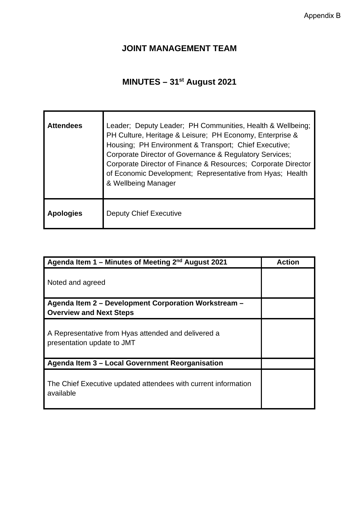## **JOINT MANAGEMENT TEAM**

# **MINUTES – 31st August 2021**

| <b>Attendees</b> | Leader; Deputy Leader; PH Communities, Health & Wellbeing;<br>PH Culture, Heritage & Leisure; PH Economy, Enterprise &<br>Housing; PH Environment & Transport; Chief Executive;<br>Corporate Director of Governance & Regulatory Services;<br>Corporate Director of Finance & Resources; Corporate Director<br>of Economic Development; Representative from Hyas; Health<br>& Wellbeing Manager |
|------------------|-------------------------------------------------------------------------------------------------------------------------------------------------------------------------------------------------------------------------------------------------------------------------------------------------------------------------------------------------------------------------------------------------|
| <b>Apologies</b> | <b>Deputy Chief Executive</b>                                                                                                                                                                                                                                                                                                                                                                   |

| Agenda Item 1 – Minutes of Meeting $2nd$ August 2021                              | <b>Action</b> |
|-----------------------------------------------------------------------------------|---------------|
| Noted and agreed                                                                  |               |
| Agenda Item 2 - Development Corporation Workstream -                              |               |
| <b>Overview and Next Steps</b>                                                    |               |
| A Representative from Hyas attended and delivered a<br>presentation update to JMT |               |
| Agenda Item 3 - Local Government Reorganisation                                   |               |
| The Chief Executive updated attendees with current information<br>available       |               |